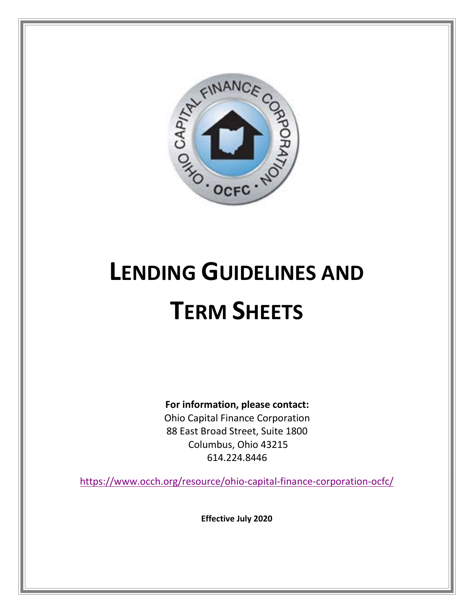

# **LENDING GUIDELINES AND TERM SHEETS**

**For information, please contact:**

Ohio Capital Finance Corporation 88 East Broad Street, Suite 1800 Columbus, Ohio 43215 614.224.8446

<https://www.occh.org/resource/ohio-capital-finance-corporation-ocfc/>

**Effective July 2020**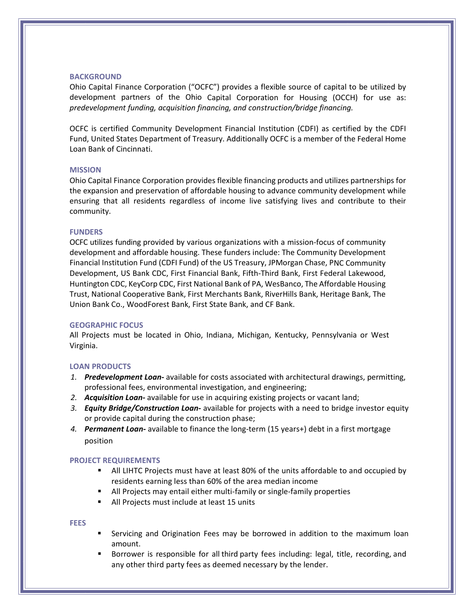#### **BACKGROUND**

Ohio Capital Finance Corporation ("OCFC") provides a flexible source of capital to be utilized by development partners of the Ohio Capital Corporation for Housing (OCCH) for use as: *predevelopment funding, acquisition financing, and construction/bridge financing.*

OCFC is certified Community Development Financial Institution (CDFI) as certified by the CDFI Fund, United States Department of Treasury. Additionally OCFC is a member of the Federal Home Loan Bank of Cincinnati.

#### **MISSION**

Ohio Capital Finance Corporation provides flexible financing products and utilizes partnerships for the expansion and preservation of affordable housing to advance community development while ensuring that all residents regardless of income live satisfying lives and contribute to their community.

#### **FUNDERS**

OCFC utilizes funding provided by various organizations with a mission-focus of community development and affordable housing. These funders include: The Community Development Financial Institution Fund (CDFI Fund) of the US Treasury, JPMorgan Chase, PNC Community Development, US Bank CDC, First Financial Bank, Fifth-Third Bank, First Federal Lakewood, Huntington CDC, KeyCorp CDC, First National Bank of PA, WesBanco, The Affordable Housing Trust, National Cooperative Bank, First Merchants Bank, RiverHills Bank, Heritage Bank, The Union Bank Co., WoodForest Bank, First State Bank, and CF Bank.

#### **GEOGRAPHIC FOCUS**

All Projects must be located in Ohio, Indiana, Michigan, Kentucky, Pennsylvania or West Virginia.

#### **LOAN PRODUCTS**

- *1. Predevelopment Loan-* available for costs associated with architectural drawings, permitting, professional fees, environmental investigation, and engineering;
- *2. Acquisition Loan-* available for use in acquiring existing projects or vacant land;
- *3. Equity Bridge/Construction Loan-* available for projects with a need to bridge investor equity or provide capital during the construction phase;
- *4. Permanent Loan-* available to finance the long-term (15 years+) debt in a first mortgage position

#### **PROJECT REQUIREMENTS**

- All LIHTC Projects must have at least 80% of the units affordable to and occupied by residents earning less than 60% of the area median income
- All Projects may entail either multi-family or single-family properties
- **All Projects must include at least 15 units**

#### **FEES**

- Servicing and Origination Fees may be borrowed in addition to the maximum loan amount.
- Borrower is responsible for all third party fees including: legal, title, recording, and any other third party fees as deemed necessary by the lender.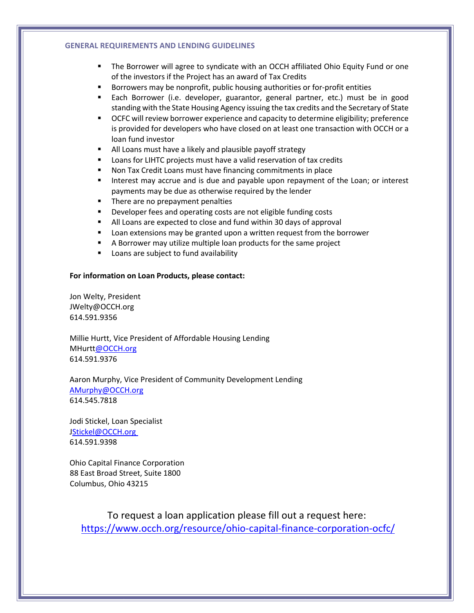#### **GENERAL REQUIREMENTS AND LENDING GUIDELINES**

- The Borrower will agree to syndicate with an OCCH affiliated Ohio Equity Fund or one of the investors if the Project has an award of Tax Credits
- Borrowers may be nonprofit, public housing authorities or for-profit entities
- Each Borrower (i.e. developer, guarantor, general partner, etc.) must be in good standing with the State Housing Agency issuing the tax credits and the Secretary of State
- **OCFC will review borrower experience and capacity to determine eligibility; preference** is provided for developers who have closed on at least one transaction with OCCH or a loan fund investor
- All Loans must have a likely and plausible payoff strategy
- Loans for LIHTC projects must have a valid reservation of tax credits
- Non Tax Credit Loans must have financing commitments in place
- **Interest may accrue and is due and payable upon repayment of the Loan; or interest** payments may be due as otherwise required by the lender
- **There are no prepayment penalties**
- **Developer fees and operating costs are not eligible funding costs**
- All Loans are expected to close and fund within 30 days of approval
- **Loan extensions may be granted upon a written request from the borrower**
- A Borrower may utilize multiple loan products for the same project
- **Loans are subject to fund availability**

#### **For information on Loan Products, please contact:**

Jon Welty, President [JWelty@OCCH.org](mailto:JWelty@OCCH.org) 614.591.9356

Millie Hurtt, Vice President of Affordable Housing Lending [MHurtt@OCCH.org](mailto:MHurtt@OCCH.org) 614.591.9376

Aaron Murphy, Vice President of Community Development Lending [AMurphy@OCCH.org](mailto:AMurphy@OCCH.org) 614.545.7818

Jodi Stickel, Loan Specialist [JStickel@OCCH.org](mailto:Stickel@OCCH.org) 614.591.9398

Ohio Capital Finance Corporation 88 East Broad Street, Suite 1800 Columbus, Ohio 43215

To request a loan application please fill out a request here: <https://www.occh.org/resource/ohio-capital-finance-corporation-ocfc/>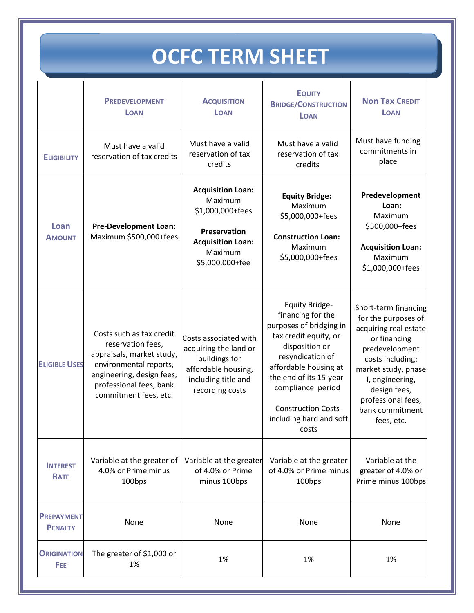## **OCFC TERM SHEET**

|                                     | <b>PREDEVELOPMENT</b><br><b>LOAN</b>                                                                                                                                                  | <b>ACQUISITION</b><br><b>LOAN</b>                                                                                                 | <b>EQUITY</b><br><b>BRIDGE/CONSTRUCTION</b><br><b>LOAN</b>                                                                                                                                                                                                                     | <b>Non Tax CREDIT</b><br><b>LOAN</b>                                                                                                                                                                                                        |
|-------------------------------------|---------------------------------------------------------------------------------------------------------------------------------------------------------------------------------------|-----------------------------------------------------------------------------------------------------------------------------------|--------------------------------------------------------------------------------------------------------------------------------------------------------------------------------------------------------------------------------------------------------------------------------|---------------------------------------------------------------------------------------------------------------------------------------------------------------------------------------------------------------------------------------------|
| <b>ELIGIBILITY</b>                  | Must have a valid<br>reservation of tax credits                                                                                                                                       | Must have a valid<br>reservation of tax<br>credits                                                                                | Must have a valid<br>reservation of tax<br>credits                                                                                                                                                                                                                             | Must have funding<br>commitments in<br>place                                                                                                                                                                                                |
| Loan<br><b>AMOUNT</b>               | <b>Pre-Development Loan:</b><br>Maximum \$500,000+fees                                                                                                                                | <b>Acquisition Loan:</b><br>Maximum<br>\$1,000,000+fees<br>Preservation<br><b>Acquisition Loan:</b><br>Maximum<br>\$5,000,000+fee | <b>Equity Bridge:</b><br>Maximum<br>\$5,000,000+fees<br><b>Construction Loan:</b><br>Maximum<br>\$5,000,000+fees                                                                                                                                                               | Predevelopment<br>Loan:<br>Maximum<br>\$500,000+fees<br><b>Acquisition Loan:</b><br>Maximum<br>\$1,000,000+fees                                                                                                                             |
| <b>ELIGIBLE USES</b>                | Costs such as tax credit<br>reservation fees,<br>appraisals, market study,<br>environmental reports,<br>engineering, design fees,<br>professional fees, bank<br>commitment fees, etc. | Costs associated with<br>acquiring the land or<br>buildings for<br>affordable housing,<br>including title and<br>recording costs  | <b>Equity Bridge-</b><br>financing for the<br>purposes of bridging in<br>tax credit equity, or<br>disposition or<br>resyndication of<br>affordable housing at<br>the end of its 15-year<br>compliance period<br><b>Construction Costs-</b><br>including hard and soft<br>costs | Short-term financing<br>for the purposes of<br>acquiring real estate<br>or financing<br>predevelopment<br>costs including:<br>market study, phase<br>I, engineering,<br>design fees,<br>professional fees,<br>bank commitment<br>fees, etc. |
| <b>INTEREST</b><br><b>RATE</b>      | Variable at the greater of<br>4.0% or Prime minus<br>100bps                                                                                                                           | Variable at the greater<br>of 4.0% or Prime<br>minus 100bps                                                                       | Variable at the greater<br>of 4.0% or Prime minus<br>100bps                                                                                                                                                                                                                    | Variable at the<br>greater of 4.0% or<br>Prime minus 100bps                                                                                                                                                                                 |
| <b>PREPAYMENT</b><br><b>PENALTY</b> | None                                                                                                                                                                                  | None                                                                                                                              | None                                                                                                                                                                                                                                                                           | None                                                                                                                                                                                                                                        |
| <b>ORIGINATION</b><br>FEE           | The greater of \$1,000 or<br>1%                                                                                                                                                       | 1%                                                                                                                                | 1%                                                                                                                                                                                                                                                                             | 1%                                                                                                                                                                                                                                          |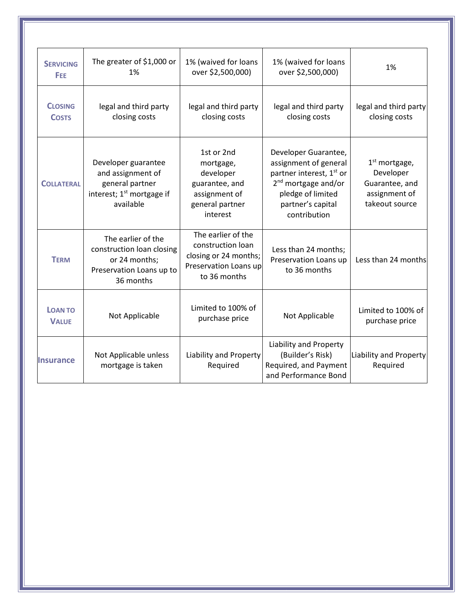| <b>SERVICING</b><br>FEE        | The greater of \$1,000 or<br>1%                                                                                   | 1% (waived for loans<br>over \$2,500,000)                                                                 | 1% (waived for loans<br>over \$2,500,000)                                                                                                                                          | 1%                                                                                |
|--------------------------------|-------------------------------------------------------------------------------------------------------------------|-----------------------------------------------------------------------------------------------------------|------------------------------------------------------------------------------------------------------------------------------------------------------------------------------------|-----------------------------------------------------------------------------------|
| <b>CLOSING</b><br><b>COSTS</b> | legal and third party<br>closing costs                                                                            | legal and third party<br>closing costs                                                                    | legal and third party<br>closing costs                                                                                                                                             | legal and third party<br>closing costs                                            |
| <b>COLLATERAL</b>              | Developer guarantee<br>and assignment of<br>general partner<br>interest; 1 <sup>st</sup> mortgage if<br>available | 1st or 2nd<br>mortgage,<br>developer<br>guarantee, and<br>assignment of<br>general partner<br>interest    | Developer Guarantee,<br>assignment of general<br>partner interest, 1 <sup>st</sup> or<br>2 <sup>nd</sup> mortgage and/or<br>pledge of limited<br>partner's capital<br>contribution | $1st$ mortgage,<br>Developer<br>Guarantee, and<br>assignment of<br>takeout source |
| <b>TERM</b>                    | The earlier of the<br>construction loan closing<br>or 24 months;<br>Preservation Loans up to<br>36 months         | The earlier of the<br>construction loan<br>closing or 24 months;<br>Preservation Loans up<br>to 36 months | Less than 24 months;<br>Preservation Loans up<br>to 36 months                                                                                                                      | Less than 24 months                                                               |
| <b>LOAN TO</b><br><b>VALUE</b> | Not Applicable                                                                                                    | Limited to 100% of<br>purchase price                                                                      | Not Applicable                                                                                                                                                                     | Limited to 100% of<br>purchase price                                              |
| <b>Insurance</b>               | Not Applicable unless<br>mortgage is taken                                                                        | Liability and Property<br>Required                                                                        | Liability and Property<br>(Builder's Risk)<br>Required, and Payment<br>and Performance Bond                                                                                        | Liability and Property<br>Required                                                |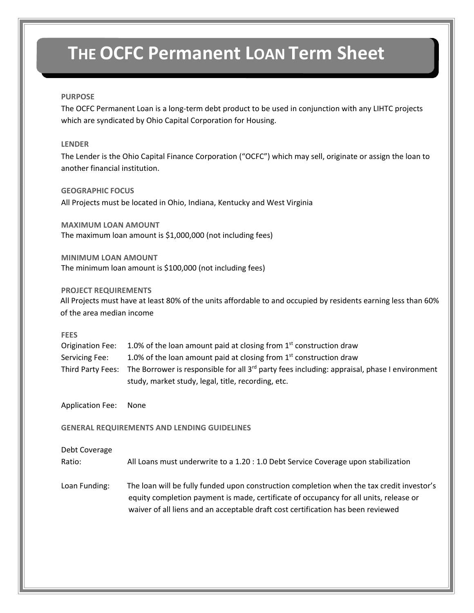### **THE OCFC Permanent LOAN Term Sheet**

#### **PURPOSE**

The OCFC Permanent Loan is a long-term debt product to be used in conjunction with any LIHTC projects which are syndicated by Ohio Capital Corporation for Housing.

#### **LENDER**

The Lender is the Ohio Capital Finance Corporation ("OCFC") which may sell, originate or assign the loan to another financial institution.

#### **GEOGRAPHIC FOCUS**

All Projects must be located in Ohio, Indiana, Kentucky and West Virginia

**MAXIMUM LOAN AMOUNT** The maximum loan amount is \$1,000,000 (not including fees)

**MINIMUM LOAN AMOUNT** The minimum loan amount is \$100,000 (not including fees)

#### **PROJECT REQUIREMENTS**

All Projects must have at least 80% of the units affordable to and occupied by residents earning less than 60% of the area median income

#### **FEES**

| <b>Origination Fee:</b> | 1.0% of the loan amount paid at closing from $1st$ construction draw                                                       |
|-------------------------|----------------------------------------------------------------------------------------------------------------------------|
| Servicing Fee:          | 1.0% of the loan amount paid at closing from $1st$ construction draw                                                       |
|                         | Third Party Fees: The Borrower is responsible for all 3 <sup>rd</sup> party fees including: appraisal, phase I environment |
|                         | study, market study, legal, title, recording, etc.                                                                         |

Application Fee: None

**GENERAL REQUIREMENTS AND LENDING GUIDELINES**

#### Debt Coverage

Ratio: All Loans must underwrite to a 1.20 : 1.0 Debt Service Coverage upon stabilization

Loan Funding: The loan will be fully funded upon construction completion when the tax credit investor's equity completion payment is made, certificate of occupancy for all units, release or waiver of all liens and an acceptable draft cost certification has been reviewed